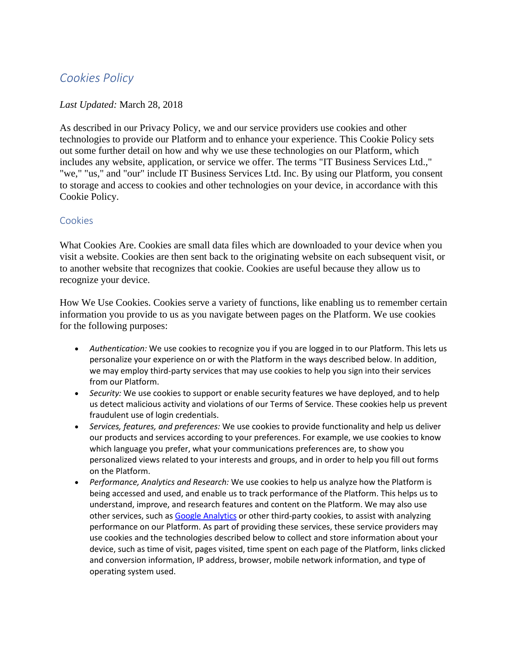# *Cookies Policy*

### *Last Updated:* March 28, 2018

As described in our Privacy Policy, we and our service providers use cookies and other technologies to provide our Platform and to enhance your experience. This Cookie Policy sets out some further detail on how and why we use these technologies on our Platform, which includes any website, application, or service we offer. The terms "IT Business Services Ltd.," "we," "us," and "our" include IT Business Services Ltd. Inc. By using our Platform, you consent to storage and access to cookies and other technologies on your device, in accordance with this Cookie Policy.

#### Cookies

What Cookies Are. Cookies are small data files which are downloaded to your device when you visit a website. Cookies are then sent back to the originating website on each subsequent visit, or to another website that recognizes that cookie. Cookies are useful because they allow us to recognize your device.

How We Use Cookies. Cookies serve a variety of functions, like enabling us to remember certain information you provide to us as you navigate between pages on the Platform. We use cookies for the following purposes:

- *Authentication:* We use cookies to recognize you if you are logged in to our Platform. This lets us personalize your experience on or with the Platform in the ways described below. In addition, we may employ third-party services that may use cookies to help you sign into their services from our Platform.
- *Security:* We use cookies to support or enable security features we have deployed, and to help us detect malicious activity and violations of our Terms of Service. These cookies help us prevent fraudulent use of login credentials.
- *Services, features, and preferences:* We use cookies to provide functionality and help us deliver our products and services according to your preferences. For example, we use cookies to know which language you prefer, what your communications preferences are, to show you personalized views related to your interests and groups, and in order to help you fill out forms on the Platform.
- *Performance, Analytics and Research:* We use cookies to help us analyze how the Platform is being accessed and used, and enable us to track performance of the Platform. This helps us to understand, improve, and research features and content on the Platform. We may also use other services, such as [Google Analytics](https://www.google.com/intl/en/analytics/#?modal_active=none) or other third-party cookies, to assist with analyzing performance on our Platform. As part of providing these services, these service providers may use cookies and the technologies described below to collect and store information about your device, such as time of visit, pages visited, time spent on each page of the Platform, links clicked and conversion information, IP address, browser, mobile network information, and type of operating system used.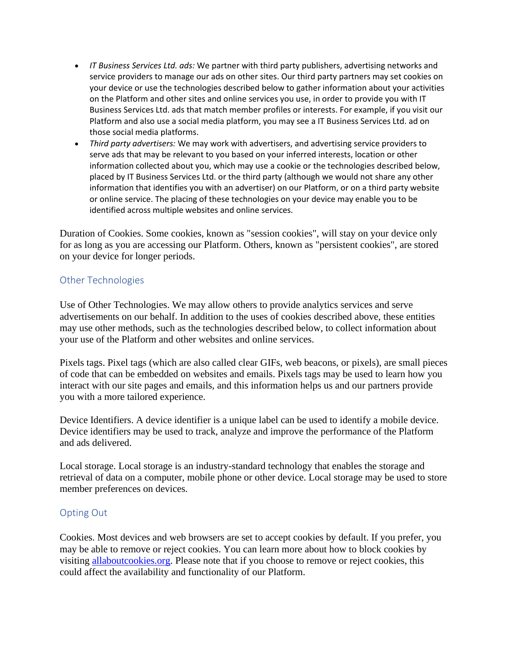- *IT Business Services Ltd. ads:* We partner with third party publishers, advertising networks and service providers to manage our ads on other sites. Our third party partners may set cookies on your device or use the technologies described below to gather information about your activities on the Platform and other sites and online services you use, in order to provide you with IT Business Services Ltd. ads that match member profiles or interests. For example, if you visit our Platform and also use a social media platform, you may see a IT Business Services Ltd. ad on those social media platforms.
- *Third party advertisers:* We may work with advertisers, and advertising service providers to serve ads that may be relevant to you based on your inferred interests, location or other information collected about you, which may use a cookie or the technologies described below, placed by IT Business Services Ltd. or the third party (although we would not share any other information that identifies you with an advertiser) on our Platform, or on a third party website or online service. The placing of these technologies on your device may enable you to be identified across multiple websites and online services.

Duration of Cookies. Some cookies, known as "session cookies", will stay on your device only for as long as you are accessing our Platform. Others, known as "persistent cookies", are stored on your device for longer periods.

## Other Technologies

Use of Other Technologies. We may allow others to provide analytics services and serve advertisements on our behalf. In addition to the uses of cookies described above, these entities may use other methods, such as the technologies described below, to collect information about your use of the Platform and other websites and online services.

Pixels tags. Pixel tags (which are also called clear GIFs, web beacons, or pixels), are small pieces of code that can be embedded on websites and emails. Pixels tags may be used to learn how you interact with our site pages and emails, and this information helps us and our partners provide you with a more tailored experience.

Device Identifiers. A device identifier is a unique label can be used to identify a mobile device. Device identifiers may be used to track, analyze and improve the performance of the Platform and ads delivered.

Local storage. Local storage is an industry-standard technology that enables the storage and retrieval of data on a computer, mobile phone or other device. Local storage may be used to store member preferences on devices.

#### Opting Out

Cookies. Most devices and web browsers are set to accept cookies by default. If you prefer, you may be able to remove or reject cookies. You can learn more about how to block cookies by visiting [allaboutcookies.org.](http://allaboutcookies.org/) Please note that if you choose to remove or reject cookies, this could affect the availability and functionality of our Platform.